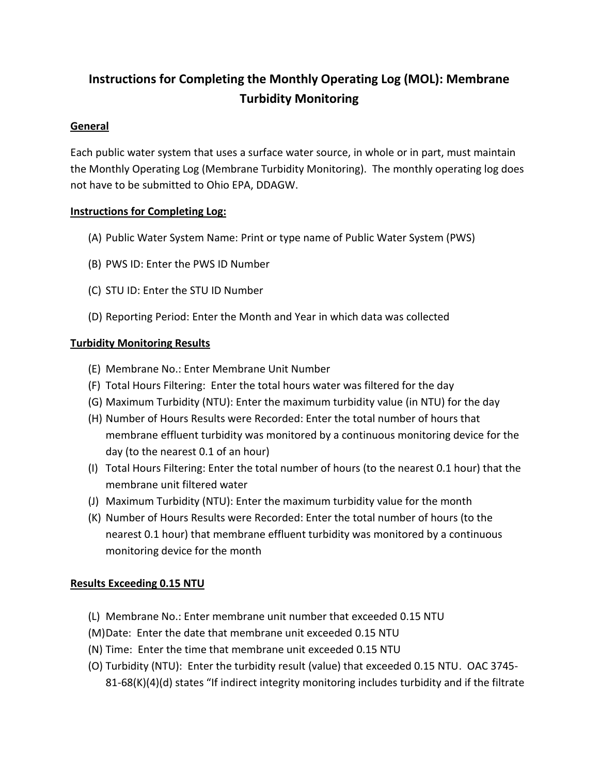# **Instructions for Completing the Monthly Operating Log (MOL): Membrane Turbidity Monitoring**

### **General**

Each public water system that uses a surface water source, in whole or in part, must maintain the Monthly Operating Log (Membrane Turbidity Monitoring). The monthly operating log does not have to be submitted to Ohio EPA, DDAGW.

#### **Instructions for Completing Log:**

- (A) Public Water System Name: Print or type name of Public Water System (PWS)
- (B) PWS ID: Enter the PWS ID Number
- (C) STU ID: Enter the STU ID Number
- (D) Reporting Period: Enter the Month and Year in which data was collected

#### **Turbidity Monitoring Results**

- (E) Membrane No.: Enter Membrane Unit Number
- (F) Total Hours Filtering: Enter the total hours water was filtered for the day
- (G) Maximum Turbidity (NTU): Enter the maximum turbidity value (in NTU) for the day
- (H) Number of Hours Results were Recorded: Enter the total number of hours that membrane effluent turbidity was monitored by a continuous monitoring device for the day (to the nearest 0.1 of an hour)
- (I) Total Hours Filtering: Enter the total number of hours (to the nearest 0.1 hour) that the membrane unit filtered water
- (J) Maximum Turbidity (NTU): Enter the maximum turbidity value for the month
- (K) Number of Hours Results were Recorded: Enter the total number of hours (to the nearest 0.1 hour) that membrane effluent turbidity was monitored by a continuous monitoring device for the month

## **Results Exceeding 0.15 NTU**

- (L) Membrane No.: Enter membrane unit number that exceeded 0.15 NTU
- (M)Date: Enter the date that membrane unit exceeded 0.15 NTU
- (N) Time: Enter the time that membrane unit exceeded 0.15 NTU
- (O) Turbidity (NTU): Enter the turbidity result (value) that exceeded 0.15 NTU. OAC 3745-  $81-68(K)(4)(d)$  states "If indirect integrity monitoring includes turbidity and if the filtrate